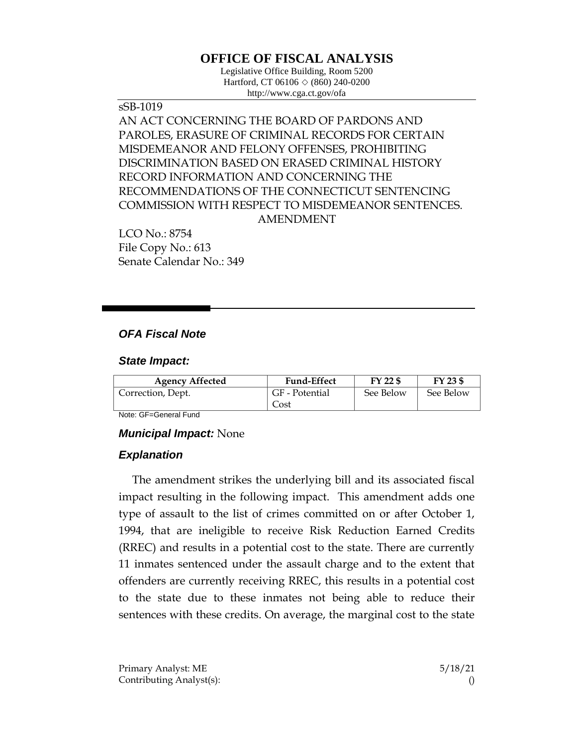# **OFFICE OF FISCAL ANALYSIS**

Legislative Office Building, Room 5200 Hartford, CT 06106 ◇ (860) 240-0200 http://www.cga.ct.gov/ofa

sSB-1019 AN ACT CONCERNING THE BOARD OF PARDONS AND PAROLES, ERASURE OF CRIMINAL RECORDS FOR CERTAIN MISDEMEANOR AND FELONY OFFENSES, PROHIBITING DISCRIMINATION BASED ON ERASED CRIMINAL HISTORY RECORD INFORMATION AND CONCERNING THE RECOMMENDATIONS OF THE CONNECTICUT SENTENCING COMMISSION WITH RESPECT TO MISDEMEANOR SENTENCES. AMENDMENT

LCO No.: 8754 File Copy No.: 613 Senate Calendar No.: 349

## *OFA Fiscal Note*

#### *State Impact:*

| <b>Agency Affected</b> | <b>Fund-Effect</b> | FY 22 \$  | FY 23 \$  |
|------------------------|--------------------|-----------|-----------|
| Correction, Dept.      | GF - Potential     | See Below | See Below |
|                        | Cost               |           |           |

Note: GF=General Fund

#### *Municipal Impact:* None

#### *Explanation*

The amendment strikes the underlying bill and its associated fiscal impact resulting in the following impact. This amendment adds one type of assault to the list of crimes committed on or after October 1, 1994, that are ineligible to receive Risk Reduction Earned Credits (RREC) and results in a potential cost to the state. There are currently 11 inmates sentenced under the assault charge and to the extent that offenders are currently receiving RREC, this results in a potential cost to the state due to these inmates not being able to reduce their sentences with these credits. On average, the marginal cost to the state